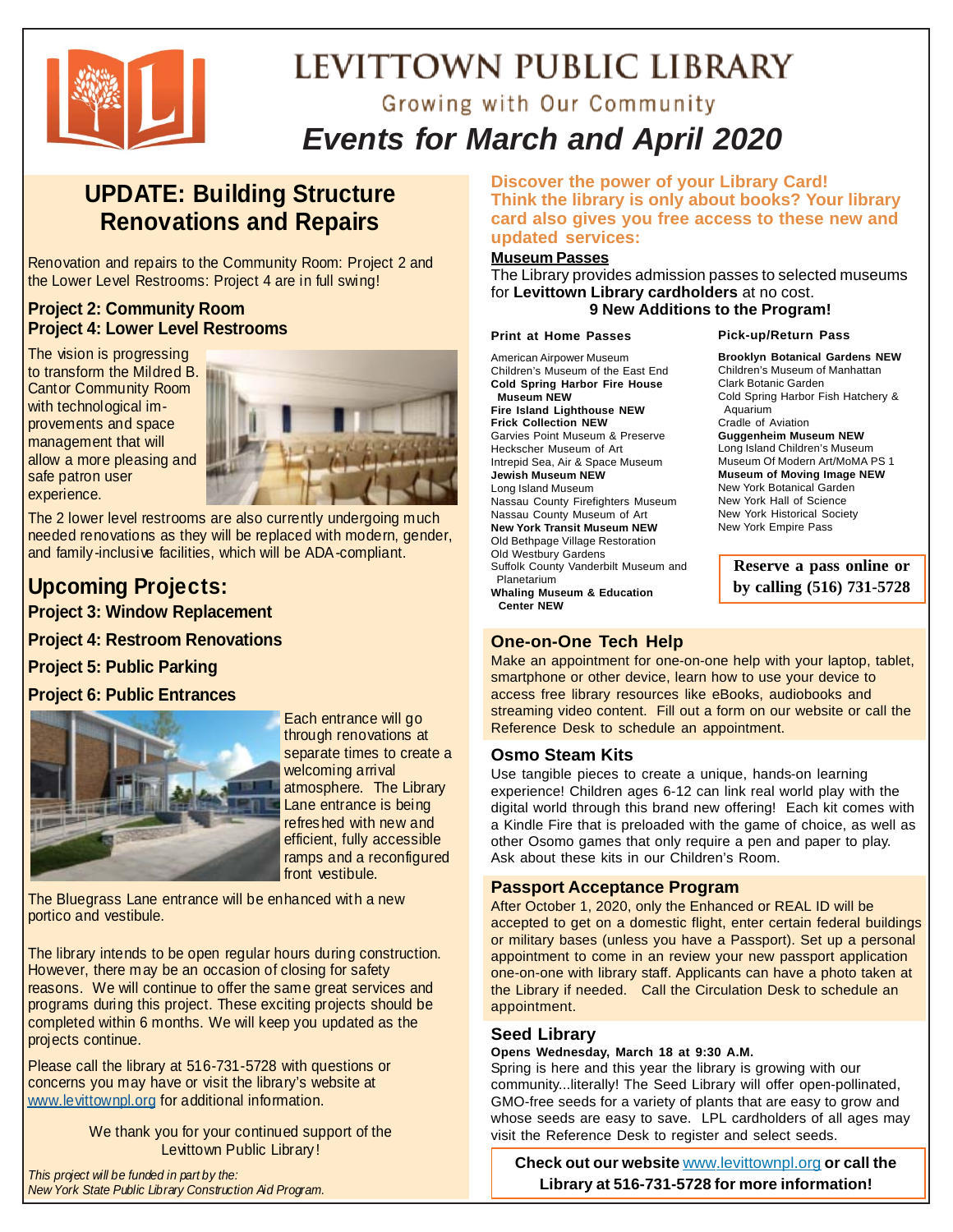

# LEVITTOWN PUBLIC LIBRARY

# Growing with Our Community *Events for March and April 2020*

### **UPDATE: Building Structure Renovations and Repairs**

Renovation and repairs to the Community Room: Project 2 and the Lower Level Restrooms: Project 4 are in full swing!

#### **Project 2: Community Room Project 4: Lower Level Restrooms**

The vision is progressing to transform the Mildred B. Cantor Community Room with technological improvements and space management that will allow a more pleasing and safe patron user experience.



The 2 lower level restrooms are also currently undergoing much needed renovations as they will be replaced with modern, gender, and family-inclusive facilities, which will be ADA-compliant.

### **Upcoming Projects:**

**Project 3: Window Replacement** 

**Project 4: Restroom Renovations** 

**Project 5: Public Parking** 

#### **Project 6: Public Entrances**



Each entrance will go through renovations at separate times to create a welcoming arrival atmosphere. The Library Lane entrance is being refreshed with new and efficient, fully accessible ramps and a reconfigured front vestibule.

The Bluegrass Lane entrance will be enhanced with a new portico and vestibule.

The library intends to be open regular hours during construction. However, there may be an occasion of closing for safety reasons. We will continue to offer the same great services and programs during this project. These exciting projects should be completed within 6 months. We will keep you updated as the projects continue.

Please call the library at 516-731-5728 with questions or concerns you may have or visit the library's website at www.levittownpl.org for additional information.

> We thank you for your continued support of the Levittown Public Library!

*This project will be funded in part by the: New York State Public Library Construction Aid Program.*  **Discover the power of your Library Card! Think the library is only about books? Your library card also gives you free access to these new and updated services:**

#### **Museum Passes**

The Library provides admission passes to selected museums for **Levittown Library cardholders** at no cost. **9 New Additions to the Program!**

#### **Print at Home Passes**

American Airpower Museum Children's Museum of the East End **Cold Spring Harbor Fire House Museum NEW Fire Island Lighthouse NEW Frick Collection NEW** Garvies Point Museum & Preserve Heckscher Museum of Art Intrepid Sea, Air & Space Museum **Jewish Museum NEW** Long Island Museum Nassau County Firefighters Museum Nassau County Museum of Art **New York Transit Museum NEW** Old Bethpage Village Restoration Old Westbury Gardens Suffolk County Vanderbilt Museum and Planetarium **Whaling Museum & Education Center NEW**

### **One-on-One Tech Help**

Make an appointment for one-on-one help with your laptop, tablet, smartphone or other device, learn how to use your device to access free library resources like eBooks, audiobooks and streaming video content. Fill out a form on our website or call the Reference Desk to schedule an appointment.

#### **Osmo Steam Kits**

Use tangible pieces to create a unique, hands-on learning experience! Children ages 6-12 can link real world play with the digital world through this brand new offering! Each kit comes with a Kindle Fire that is preloaded with the game of choice, as well as other Osomo games that only require a pen and paper to play. Ask about these kits in our Children's Room.

#### **Passport Acceptance Program**

After October 1, 2020, only the Enhanced or REAL ID will be accepted to get on a domestic flight, enter certain federal buildings or military bases (unless you have a Passport). Set up a personal appointment to come in an review your new passport application one-on-one with library staff. Applicants can have a photo taken at the Library if needed. Call the Circulation Desk to schedule an appointment.

#### **Seed Library**

#### **Opens Wednesday, March 18 at 9:30 A.M.**

Spring is here and this year the library is growing with our community...literally! The Seed Library will offer open-pollinated, GMO-free seeds for a variety of plants that are easy to grow and whose seeds are easy to save. LPL cardholders of all ages may visit the Reference Desk to register and select seeds.

**Check out our website** www.levittownpl.org **or call the Library at 516-731-5728 for more information!**

**Pick-up/Return Pass**

**Brooklyn Botanical Gardens NEW** Children's Museum of Manhattan Clark Botanic Garden Cold Spring Harbor Fish Hatchery & Aquarium Cradle of Aviation **Guggenheim Museum NEW** Long Island Children's Museum Museum Of Modern Art/MoMA PS 1 **Museum of Moving Image NEW** New York Botanical Garden New York Hall of Science New York Historical Society New York Empire Pass

> **Reserve a pass online or by calling (516) 731-5728**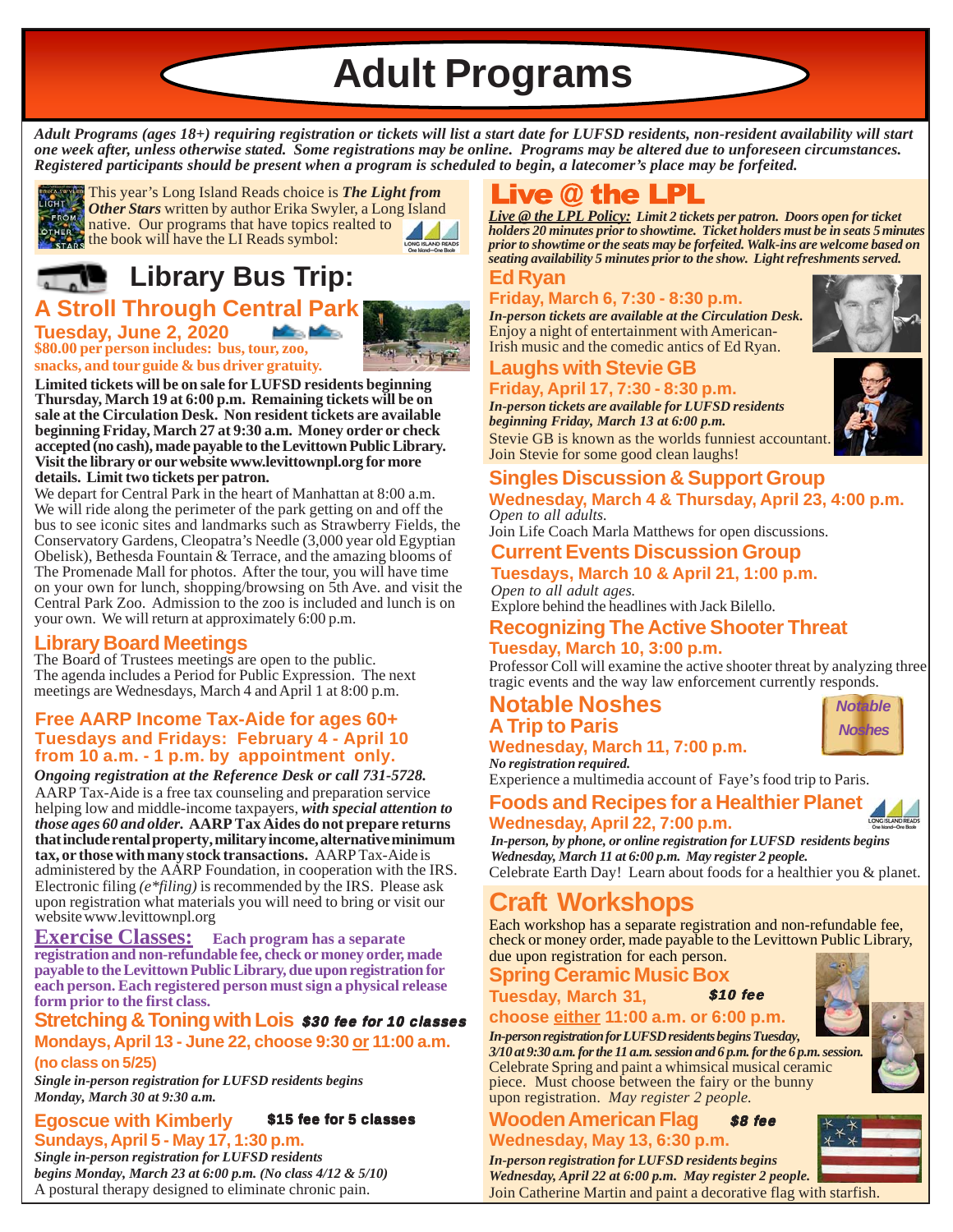**Adult Programs**

*Adult Programs (ages 18+) requiring registration or tickets will list a start date for LUFSD residents, non-resident availability will start one week after, unless otherwise stated. Some registrations may be online. Programs may be altered due to unforeseen circumstances. Registered participants should be present when a program is scheduled to begin, a latecomer's place may be forfeited.*



This year's Long Island Reads choice is *The Light from Other Stars* written by author Erika Swyler, a Long Island FROM **UINET BILLY** WITHOUT BUT THAT THE TOPICS realted to the book will have the LI Reads symbol:

# **Library Bus Trip:**

**\$80.00 per person includes: bus, tour, zoo, A Stroll Through Central Park Tuesday, June 2, 2020**



**snacks, and tour guide & bus driver gratuity. Limited tickets will be on sale for LUFSD residents beginning**

**Thursday, March 19 at 6:00 p.m. Remaining tickets will be on sale at the Circulation Desk. Non resident tickets are available beginning Friday, March 27 at 9:30 a.m. Money order or check accepted (no cash), made payable to the Levittown Public Library. Visit the library or our website www.levittownpl.org for more details. Limit two tickets per patron.**

We depart for Central Park in the heart of Manhattan at 8:00 a.m. We will ride along the perimeter of the park getting on and off the bus to see iconic sites and landmarks such as Strawberry Fields, the Conservatory Gardens, Cleopatra's Needle (3,000 year old Egyptian Obelisk), Bethesda Fountain & Terrace, and the amazing blooms of The Promenade Mall for photos. After the tour, you will have time on your own for lunch, shopping/browsing on 5th Ave. and visit the Central Park Zoo. Admission to the zoo is included and lunch is on your own. We will return at approximately 6:00 p.m.

### **Library Board Meetings**

The Board of Trustees meetings are open to the public. The agenda includes a Period for Public Expression. The next meetings are Wednesdays, March 4 and April 1 at 8:00 p.m.

#### **Free AARP Income Tax-Aide for ages 60+ Tuesdays and Fridays: February 4 - April 10 from 10 a.m. - 1 p.m. by appointment only.**

*Ongoing registration at the Reference Desk or call 731-5728.* AARP Tax-Aide is a free tax counseling and preparation service helping low and middle-income taxpayers, *with special attention to those ages 60 and older.* **AARP Tax Aides do not prepare returns that include rental property, military income, alternative minimum tax, or those with many stock transactions.** AARP Tax-Aide is administered by the AARP Foundation, in cooperation with the IRS. Electronic filing *(e\*filing)* is recommended by the IRS. Please ask upon registration what materials you will need to bring or visit our website www.levittownpl.org

**Exercise Classes: Each program has a separate registration and non-refundable fee, check or money order, made payable to the Levittown Public Library, due upon registration for each person. Each registered person must sign a physical release form prior to the first class.**

#### **Stretching & Toning with Lois** \$30 fee for 10 classes **Mondays, April 13 - June 22, choose 9:30 or 11:00 a.m.**

**(no class on 5/25)**

*Single in-person registration for LUFSD residents begins Monday, March 30 at 9:30 a.m.*

#### **Egoscue with Kimberly Sundays, April 5 - May 17, 1:30 p.m.** \$15 fee for 5 classes

*Single in-person registration for LUFSD residents begins Monday, March 23 at 6:00 p.m. (No class 4/12 & 5/10)* A postural therapy designed to eliminate chronic pain.

# Live  $\omega$  the LPL

*Live @ the LPL Policy: Limit 2 tickets per patron. Doors open for ticket holders 20 minutes prior to showtime. Ticket holders must be in seats 5 minutes prior to showtime or the seats may be forfeited. Walk-ins are welcome based on seating availability 5 minutes prior to the show. Light refreshments served.*

#### **Ed Ryan**

### **Friday, March 6, 7:30 - 8:30 p.m.**

*In-person tickets are available at the Circulation Desk.* Enjoy a night of entertainment with American-Irish music and the comedic antics of Ed Ryan.

### **Laughs with Stevie GB**

**Friday, April 17, 7:30 - 8:30 p.m.** *In-person tickets are available for LUFSD residents*

*beginning Friday, March 13 at 6:00 p.m.* Stevie GB is known as the worlds funniest accountant.

**Singles Discussion & Support Group** Join Stevie for some good clean laughs!

### **Wednesday, March 4 & Thursday, April 23, 4:00 p.m.** *Open to all adults.*

Join Life Coach Marla Matthews for open discussions.

#### **Current Events Discussion Group Tuesdays, March 10 & April 21, 1:00 p.m.**

*Open to all adult ages.* Explore behind the headlines with Jack Bilello.

### **Recognizing The Active Shooter Threat Tuesday, March 10, 3:00 p.m.**

Professor Coll will examine the active shooter threat by analyzing three tragic events and the way law enforcement currently responds.

**Notable Noshes A Trip to Paris**



Experience a multimedia account of Faye's food trip to Paris.

## **Foods and Recipes for a Healthier Planet**

**Wednesday, April 22, 7:00 p.m.**

Celebrate Earth Day! Learn about foods for a healthier you & planet. *In-person, by phone, or online registration for LUFSD residents begins Wednesday, March 11 at 6:00 p.m. May register 2 people.*

# **Craft Workshops**

Each workshop has a separate registration and non-refundable fee, check or money order, made payable to the Levittown Public Library, due upon registration for each person.

### **Spring Ceramic Music Box Tuesday, March 31,**

**choose either 11:00 a.m. or 6:00 p.m.** \$10 fee

### *In-person registration for LUFSD residents begins Tuesday,*

Celebrate Spring and paint a whimsical musical ceramic piece. Must choose between the fairy or the bunny upon registration. *May register 2 people. 3/10 at 9:30 a.m. for the 11 a.m. session and 6 p.m. for the 6 p.m. session.*

Join Catherine Martin and paint a decorative flag with starfish.

**Wooden American Flag Wednesday, May 13, 6:30 p.m.** \$8 fee

*In-person registration for LUFSD residents begins Wednesday, April 22 at 6:00 p.m. May register 2 people.*



*Notable Noshes*



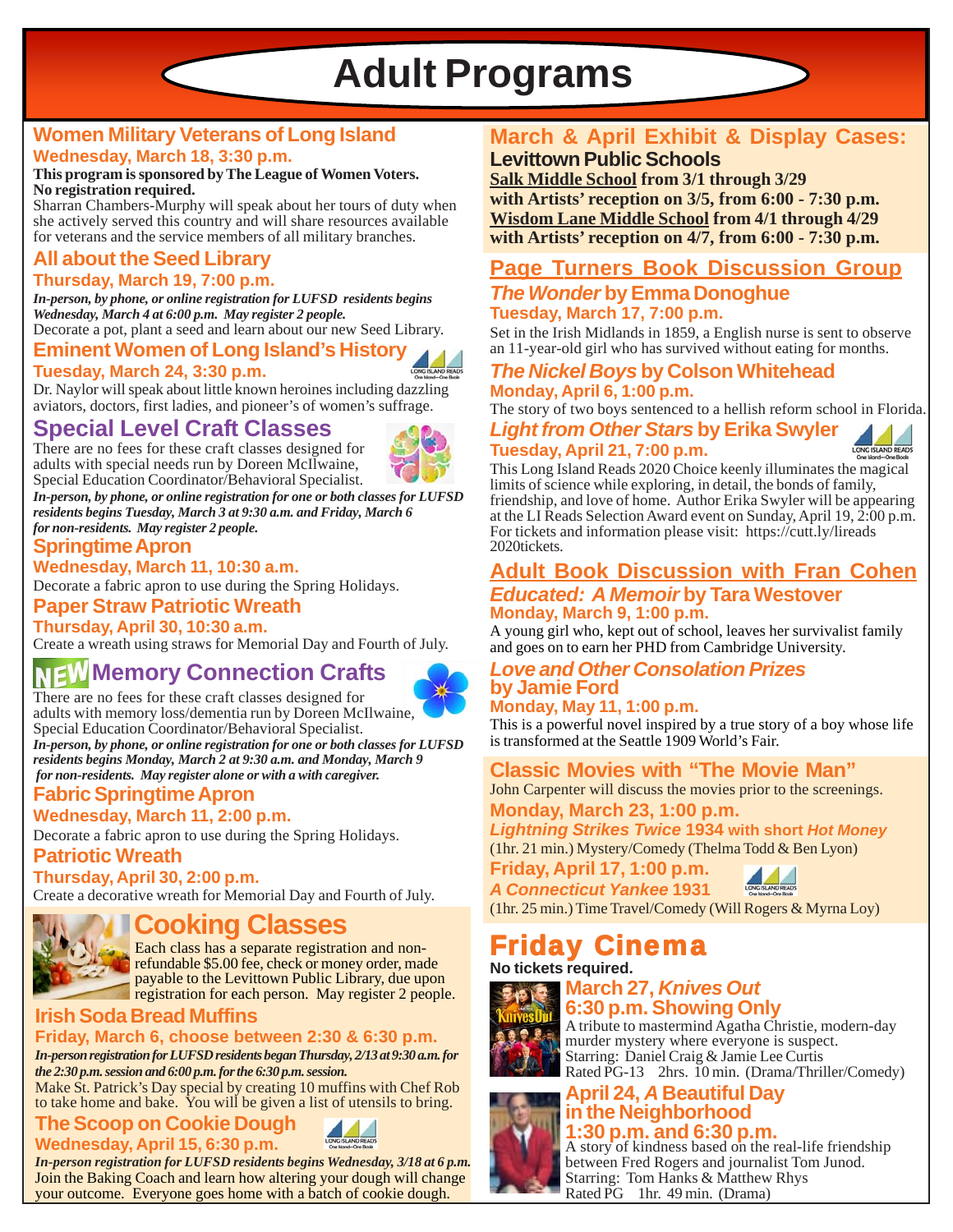**Adult Programs**

### **Women Military Veterans of Long Island Wednesday, March 18, 3:30 p.m.**

#### **This program is sponsored by The League of Women Voters. No registration required.**

Sharran Chambers-Murphy will speak about her tours of duty when she actively served this country and will share resources available for veterans and the service members of all military branches.

# **All about the Seed Library**

**Thursday, March 19, 7:00 p.m.** *In-person, by phone, or online registration for LUFSD residents begins*

*Wednesday, March 4 at 6:00 p.m. May register 2 people.*

### Decorate a pot, plant a seed and learn about our new Seed Library.

**Eminent Women of Long Island's History Tuesday, March 24, 3:30 p.m.**



Dr. Naylor will speak about little known heroines including dazzling aviators, doctors, first ladies, and pioneer's of women's suffrage.

### **Special Level Craft Classes**

There are no fees for these craft classes designed for adults with special needs run by Doreen McIlwaine, Special Education Coordinator/Behavioral Specialist.

*In-person, by phone, or online registration for one or both classes for LUFSD residents begins Tuesday, March 3 at 9:30 a.m. and Friday, March 6 for non-residents. May register 2 people.*

### **Springtime Apron**

**Wednesday, March 11, 10:30 a.m.**

Decorate a fabric apron to use during the Spring Holidays.

**Paper Straw Patriotic Wreath**

**Thursday, April 30, 10:30 a.m.**

Create a wreath using straws for Memorial Day and Fourth of July.

# **MEW Memory Connection Crafts**



There are no fees for these craft classes designed for adults with memory loss/dementia run by Doreen McIlwaine, Special Education Coordinator/Behavioral Specialist. *In-person, by phone, or online registration for one or both classes for LUFSD residents begins Monday, March 2 at 9:30 a.m. and Monday, March 9 for non-residents. May register alone or with a with caregiver.*

**Fabric Springtime Apron**

### **Wednesday, March 11, 2:00 p.m.**

Decorate a fabric apron to use during the Spring Holidays.

### **Patriotic Wreath**

**Thursday, April 30, 2:00 p.m.**

Create a decorative wreath for Memorial Day and Fourth of July.



## **Cooking Classes**

Each class has a separate registration and nonrefundable \$5.00 fee, check or money order, made payable to the Levittown Public Library, due upon registration for each person. May register 2 people.

#### **Irish Soda Bread Muffins Friday, March 6, choose between 2:30 & 6:30 p.m.**

*In-person registration for LUFSD residents began Thursday, 2/13 at 9:30 a.m. for the 2:30 p.m. session and 6:00 p.m. for the 6:30 p.m. session.*

Make St. Patrick's Day special by creating 10 muffins with Chef Rob to take home and bake. You will be given a list of utensils to bring.

#### **The Scoop on Cookie Dough Wednesday, April 15, 6:30 p.m.**

Join the Baking Coach and learn how altering your dough will change your outcome. Everyone goes home with a batch of cookie dough. *In-person registration for LUFSD residents begins Wednesday, 3/18 at 6 p.m.*

### **March & April Exhibit & Display Cases: Levittown Public Schools**

**Salk Middle School from 3/1 through 3/29 with Artists' reception on 3/5, from 6:00 - 7:30 p.m. Wisdom Lane Middle School from 4/1 through 4/29 with Artists' reception on 4/7, from 6:00 - 7:30 p.m.**

### **Page Turners Book Discussion Group**

*The Wonder* **by Emma Donoghue Tuesday, March 17, 7:00 p.m.**

Set in the Irish Midlands in 1859, a English nurse is sent to observe an 11-year-old girl who has survived without eating for months.

### *The Nickel Boys* **by Colson Whitehead Monday, April 6, 1:00 p.m.**

*Light from Other Stars* **by Erika Swyler** The story of two boys sentenced to a hellish reform school in Florida.

ONG ISLAND READS

### **Tuesday, April 21, 7:00 p.m.**

This Long Island Reads 2020 Choice keenly illuminates the magical limits of science while exploring, in detail, the bonds of family, friendship, and love of home. Author Erika Swyler will be appearing at the LI Reads Selection Award event on Sunday, April 19, 2:00 p.m. For tickets and information please visit: https://cutt.ly/lireads 2020tickets.

### **Adult Book Discussion with Fran Cohen** *Educated: A Memoir* **by Tara Westover Monday, March 9, 1:00 p.m.**

A young girl who, kept out of school, leaves her survivalist family and goes on to earn her PHD from Cambridge University.

### *Love and Other Consolation Prizes* **by Jamie Ford**

**Monday, May 11, 1:00 p.m.** This is a powerful novel inspired by a true story of a boy whose life is transformed at the Seattle 1909 World's Fair.

**Classic Movies with "The Movie Man"**

**Monday, March 23, 1:00 p.m.** John Carpenter will discuss the movies prior to the screenings.

*Lightning Strikes Twice* **1934 with short** *Hot Money*

(1hr. 21 min.) Mystery/Comedy (Thelma Todd & Ben Lyon)

**Friday, April 17, 1:00 p.m.**

*A Connecticut Yankee* **1931**

(1hr. 25 min.) Time Travel/Comedy (Will Rogers & Myrna Loy)

# **Friday Cinema**<br>No tickets required.



#### **March 27,** *Knives Out* **6:30 p.m. Showing Only**

A tribute to mastermind Agatha Christie, modern-day murder mystery where everyone is suspect. Starring: Daniel Craig & Jamie Lee Curtis Rated PG-13 2hrs. 10 min. (Drama/Thriller/Comedy)

#### **April 24,** *A* **Beautiful Day in the Neighborhood 1:30 p.m. and 6:30 p.m.**



A story of kindness based on the real-life friendship between Fred Rogers and journalist Tom Junod. Starring: Tom Hanks & Matthew Rhys Rated PG 1hr. 49 min. (Drama)





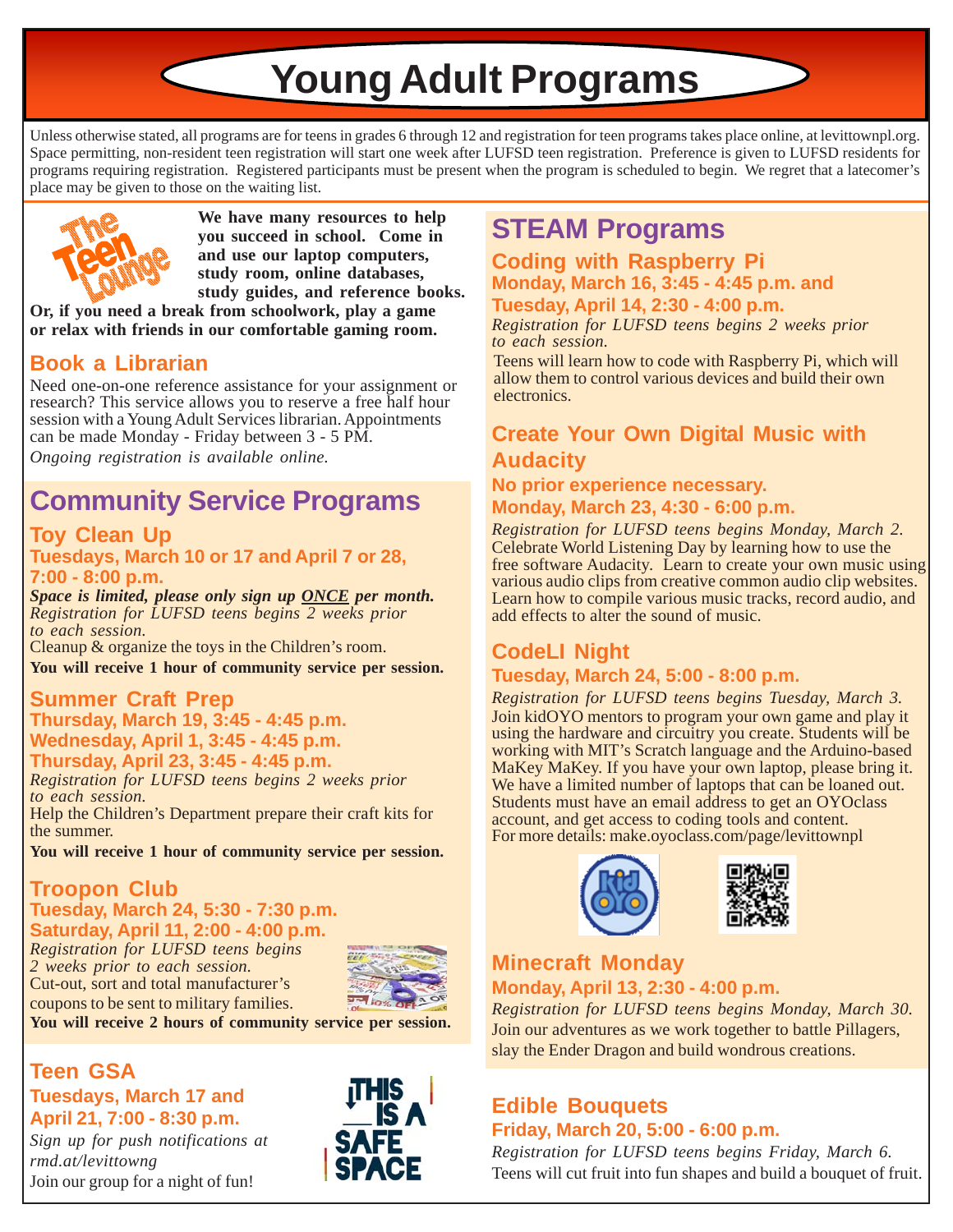**Young Adult Programs**

Unless otherwise stated, all programs are for teens in grades 6 through 12 and registration for teen programs takes place online, at levittownpl.org. Space permitting, non-resident teen registration will start one week after LUFSD teen registration. Preference is given to LUFSD residents for programs requiring registration. Registered participants must be present when the program is scheduled to begin. We regret that a latecomer's place may be given to those on the waiting list.



**We have many resources to help you succeed in school. Come in and use our laptop computers, study room, online databases, study guides, and reference books.**

**Or, if you need a break from schoolwork, play a game or relax with friends in our comfortable gaming room.**

### **Book a Librarian**

Need one-on-one reference assistance for your assignment or research? This service allows you to reserve a free half hour session with a Young Adult Services librarian. Appointments can be made Monday - Friday between 3 - 5 PM. *Ongoing registration is available online.*

# **Community Service Programs**

### **Toy Clean Up**

### **Tuesdays, March 10 or 17 and April 7 or 28, 7:00 - 8:00 p.m.**

*Space is limited, please only sign up ONCE per month. Registration for LUFSD teens begins 2 weeks prior to each session.*

Cleanup & organize the toys in the Children's room. **You will receive 1 hour of community service per session.**

# **Summer Craft Prep**

**Thursday, March 19, 3:45 - 4:45 p.m. Wednesday, April 1, 3:45 - 4:45 p.m. Thursday, April 23, 3:45 - 4:45 p.m.**

*Registration for LUFSD teens begins 2 weeks prior to each session.*

Help the Children's Department prepare their craft kits for the summer.

**You will receive 1 hour of community service per session.**

### **Troopon Club Tuesday, March 24, 5:30 - 7:30 p.m. Saturday, April 11, 2:00 - 4:00 p.m.**

*Registration for LUFSD teens begins 2 weeks prior to each session.* Cut-out, sort and total manufacturer's coupons to be sent to military families.



**You will receive 2 hours of community service per session.**

### **Teen GSA Tuesdays, March 17 and April 21, 7:00 - 8:30 p.m.**

*Sign up for push notifications at rmd.at/levittowng* Join our group for a night of fun!



# **STEAM Programs**

### **Coding with Raspberry Pi Monday, March 16, 3:45 - 4:45 p.m. and Tuesday, April 14, 2:30 - 4:00 p.m.**

*Registration for LUFSD teens begins 2 weeks prior to each session.*

Teens will learn how to code with Raspberry Pi, which will allow them to control various devices and build their own electronics.

### **Create Your Own Digital Music with Audacity**

#### **No prior experience necessary. Monday, March 23, 4:30 - 6:00 p.m.**

*Registration for LUFSD teens begins Monday, March 2.* Celebrate World Listening Day by learning how to use the free software Audacity. Learn to create your own music using various audio clips from creative common audio clip websites. Learn how to compile various music tracks, record audio, and add effects to alter the sound of music.

# **CodeLI Night**

### **Tuesday, March 24, 5:00 - 8:00 p.m.**

*Registration for LUFSD teens begins Tuesday, March 3.* Join kidOYO mentors to program your own game and play it using the hardware and circuitry you create. Students will be working with MIT's Scratch language and the Arduino-based MaKey MaKey. If you have your own laptop, please bring it. We have a limited number of laptops that can be loaned out. Students must have an email address to get an OYOclass account, and get access to coding tools and content. For more details: make.oyoclass.com/page/levittownpl





### **Minecraft Monday Monday, April 13, 2:30 - 4:00 p.m.**

*Registration for LUFSD teens begins Monday, March 30.* Join our adventures as we work together to battle Pillagers, slay the Ender Dragon and build wondrous creations.

### **Edible Bouquets Friday, March 20, 5:00 - 6:00 p.m.**

*Registration for LUFSD teens begins Friday, March 6.* Teens will cut fruit into fun shapes and build a bouquet of fruit.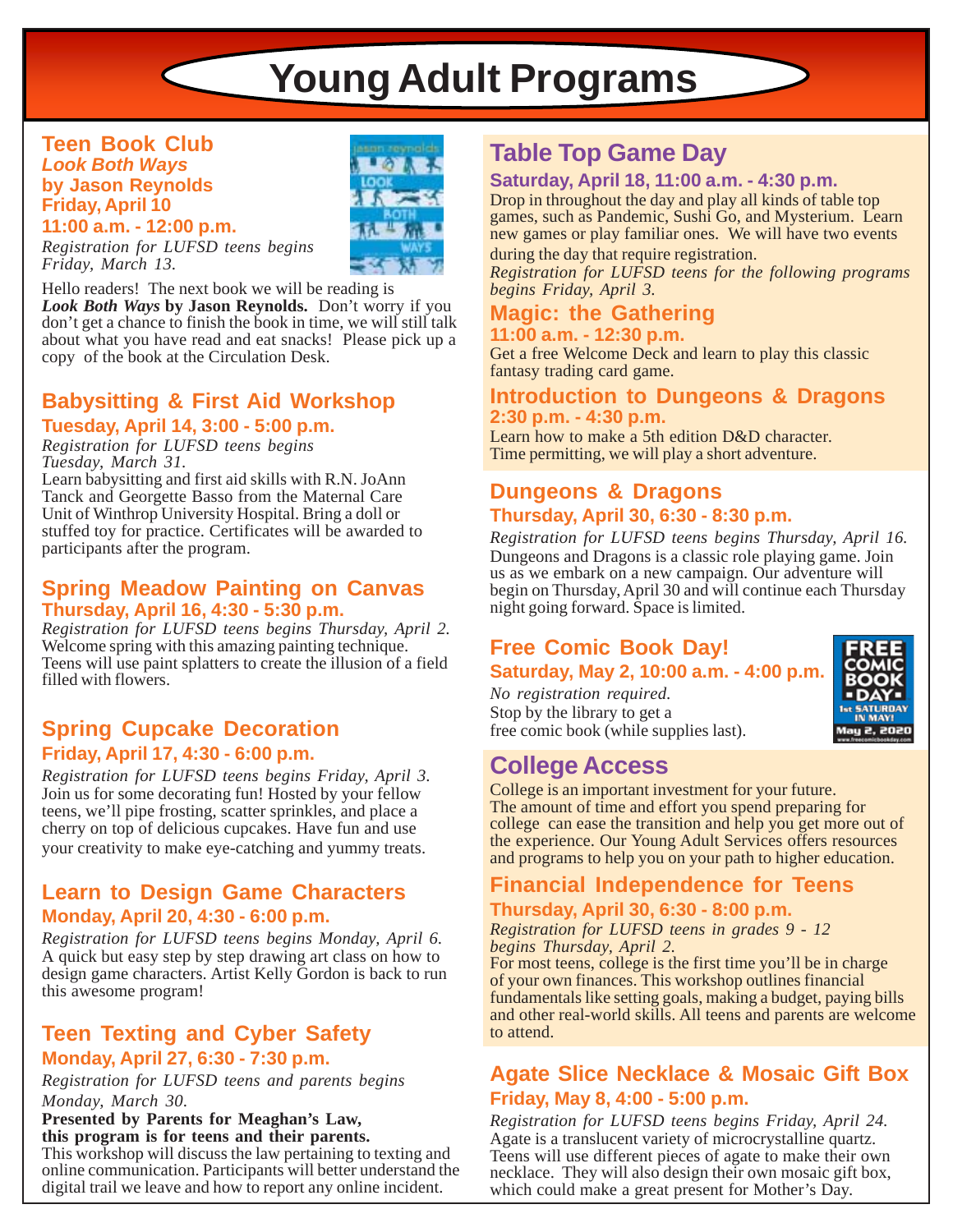# **Young Adult Programs**

### **Teen Book Club** *Look Both Ways* **by Jason Reynolds Friday, April 10**



**11:00 a.m. - 12:00 p.m.** *Registration for LUFSD teens begins Friday, March 13.*

 $\subset$ 

Hello readers! The next book we will be reading is *Look Both Ways* **by Jason Reynolds.** Don't worry if you don't get a chance to finish the book in time, we will still talk about what you have read and eat snacks! Please pick up a copy of the book at the Circulation Desk.

# **Babysitting & First Aid Workshop**

**Tuesday, April 14, 3:00 - 5:00 p.m.** *Registration for LUFSD teens begins*

*Tuesday, March 31.*

Learn babysitting and first aid skills with R.N. JoAnn Tanck and Georgette Basso from the Maternal Care Unit of Winthrop University Hospital. Bring a doll or stuffed toy for practice. Certificates will be awarded to participants after the program.

### **Spring Meadow Painting on Canvas Thursday, April 16, 4:30 - 5:30 p.m.**

*Registration for LUFSD teens begins Thursday, April 2.* Welcome spring with this amazing painting technique. Teens will use paint splatters to create the illusion of a field filled with flowers.

### **Spring Cupcake Decoration Friday, April 17, 4:30 - 6:00 p.m.**

*Registration for LUFSD teens begins Friday, April 3.* Join us for some decorating fun! Hosted by your fellow teens, we'll pipe frosting, scatter sprinkles, and place a cherry on top of delicious cupcakes. Have fun and use your creativity to make eye-catching and yummy treats.

### **Learn to Design Game Characters Monday, April 20, 4:30 - 6:00 p.m.**

*Registration for LUFSD teens begins Monday, April 6.* A quick but easy step by step drawing art class on how to design game characters. Artist Kelly Gordon is back to run this awesome program!

### **Teen Texting and Cyber Safety**

### **Monday, April 27, 6:30 - 7:30 p.m.**

*Registration for LUFSD teens and parents begins Monday, March 30.*

#### **Presented by Parents for Meaghan's Law, this program is for teens and their parents.**

This workshop will discuss the law pertaining to texting and online communication. Participants will better understand the digital trail we leave and how to report any online incident.

# **Table Top Game Day**

### **Saturday, April 18, 11:00 a.m. - 4:30 p.m.**

Drop in throughout the day and play all kinds of table top games, such as Pandemic, Sushi Go, and Mysterium. Learn new games or play familiar ones. We will have two events

during the day that require registration.

*Registration for LUFSD teens for the following programs begins Friday, April 3.*

### **Magic: the Gathering 11:00 a.m. - 12:30 p.m.**

Get a free Welcome Deck and learn to play this classic fantasy trading card game.

### **Introduction to Dungeons & Dragons 2:30 p.m. - 4:30 p.m.**

Learn how to make a 5th edition D&D character. Time permitting, we will play a short adventure.

### **Dungeons & Dragons Thursday, April 30, 6:30 - 8:30 p.m.**

*Registration for LUFSD teens begins Thursday, April 16.* Dungeons and Dragons is a classic role playing game. Join us as we embark on a new campaign. Our adventure will begin on Thursday, April 30 and will continue each Thursday night going forward. Space is limited.

### **Free Comic Book Day! Saturday, May 2, 10:00 a.m. - 4:00 p.m.**

*No registration required.* Stop by the library to get a free comic book (while supplies last).

## **College Access**

College is an important investment for your future. The amount of time and effort you spend preparing for college can ease the transition and help you get more out of the experience. Our Young Adult Services offers resources and programs to help you on your path to higher education.

### **Financial Independence for Teens**

### **Thursday, April 30, 6:30 - 8:00 p.m.**

*Registration for LUFSD teens in grades 9 - 12 begins Thursday, April 2.*

For most teens, college is the first time you'll be in charge of your own finances. This workshop outlines financial fundamentals like setting goals, making a budget, paying bills and other real-world skills. All teens and parents are welcome to attend.

### **Agate Slice Necklace & Mosaic Gift Box Friday, May 8, 4:00 - 5:00 p.m.**

*Registration for LUFSD teens begins Friday, April 24.* Agate is a translucent variety of microcrystalline quartz. Teens will use different pieces of agate to make their own necklace. They will also design their own mosaic gift box, which could make a great present for Mother's Day.

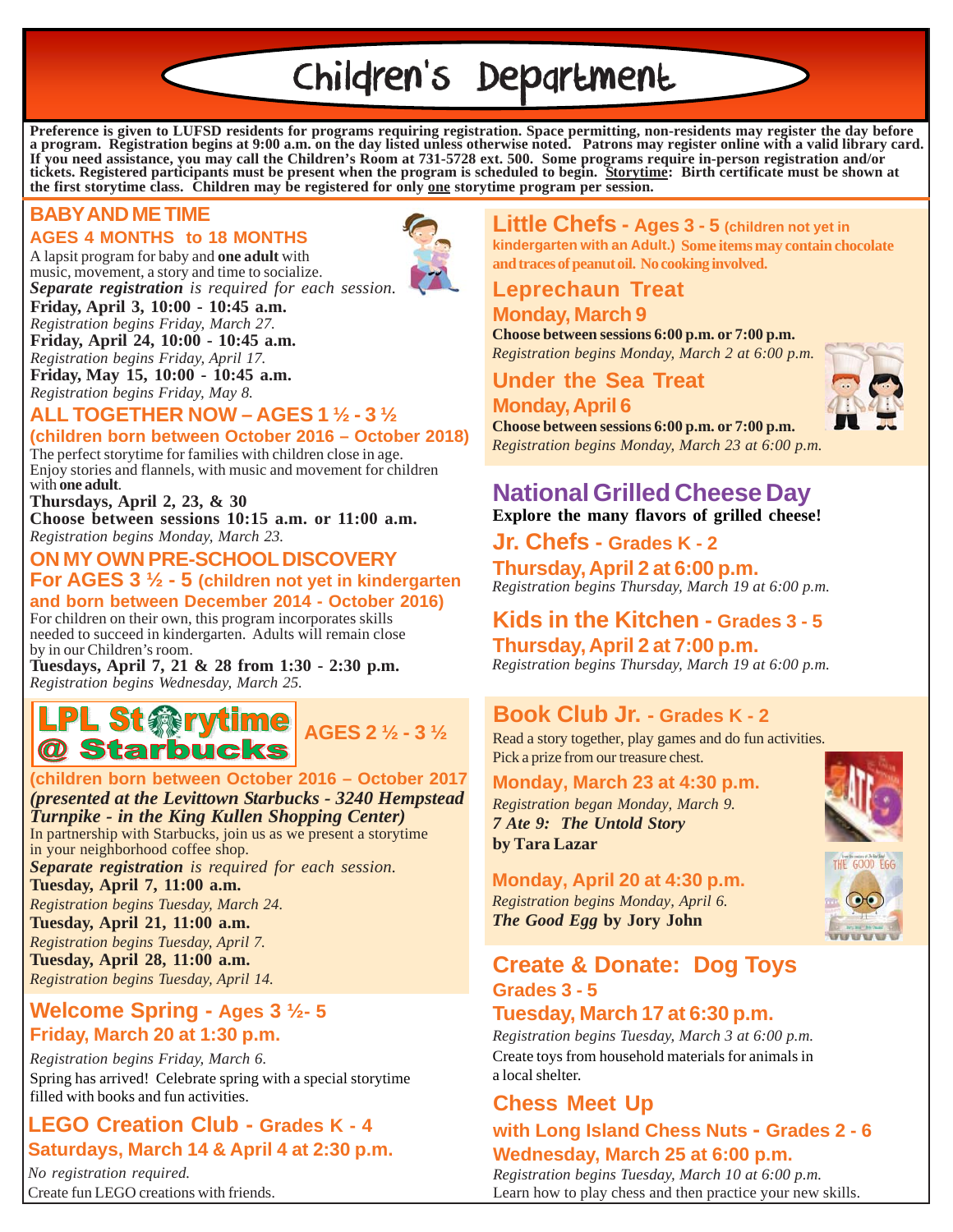# Children's Department

**Preference is given to LUFSD residents for programs requiring registration. Space permitting, non-residents may register the day before a program. Registration begins at 9:00 a.m. on the day listed unless otherwise noted. Patrons may register online with a valid library card. If you need assistance, you may call the Children's Room at 731-5728 ext. 500. Some programs require in-person registration and/or tickets. Registered participants must be present when the program is scheduled to begin. Storytime: Birth certificate must be shown at the first storytime class. Children may be registered for only one storytime program per session.**

### **BABY AND ME TIME**

### **AGES 4 MONTHS to 18 MONTHS**

A lapsit program for baby and **one adult** with music, movement, a story and time to socialize. *Separate registration is required for each session.*



#### **Friday, April 3, 10:00 - 10:45 a.m.** *Registration begins Friday, March 27.*

**Friday, April 24, 10:00 - 10:45 a.m.** *Registration begins Friday, April 17.* **Friday, May 15, 10:00 - 10:45 a.m.**

*Registration begins Friday, May 8.*

### **ALL TOGETHER NOW – AGES 1 ½ - 3 ½**

**(children born between October 2016 – October 2018)**

The perfect storytime for families with children close in age. Enjoy stories and flannels, with music and movement for children with **one adult**.

**Thursdays, April 2, 23, & 30 Choose between sessions 10:15 a.m. or 11:00 a.m.** *Registration begins Monday, March 23.*

### **ON MY OWN PRE-SCHOOL DISCOVERY**

**For AGES 3 ½ - 5 (children not yet in kindergarten and born between December 2014 - October 2016)**

For children on their own, this program incorporates skills needed to succeed in kindergarten. Adults will remain close by in our Children's room.

**Tuesdays, April 7, 21 & 28 from 1:30 - 2:30 p.m.** *Registration begins Wednesday, March 25.*

# **L St @rytime** <br>AGES 2 1/2 - 3 1/2 @ Starbucks

#### **(children born between October 2016 – October 2017** *(presented at the Levittown Starbucks - 3240 Hempstead*

*Turnpike - in the King Kullen Shopping Center)* In partnership with Starbucks, join us as we present a storytime in your neighborhood coffee shop. *Separate registration is required for each session.* **Tuesday, April 7, 11:00 a.m.** *Registration begins Tuesday, March 24.*

**Tuesday, April 21, 11:00 a.m.** *Registration begins Tuesday, April 7.* **Tuesday, April 28, 11:00 a.m.**

*Registration begins Tuesday, April 14.*

### **Welcome Spring - Ages 3 ½- 5 Friday, March 20 at 1:30 p.m.**

*Registration begins Friday, March 6.* Spring has arrived! Celebrate spring with a special storytime filled with books and fun activities. **Chess Meet Up**

### **LEGO Creation Club - Grades K - 4 Saturdays, March 14 & April 4 at 2:30 p.m.**

*No registration required.* Create fun LEGO creations with friends.

#### **Little Chefs - Ages 3 - 5 (children not yet in kindergarten with an Adult.) Some items may contain chocolate and traces of peanut oil. No cooking involved.**

### **Leprechaun Treat**

### **Monday, March 9**

**Choose between sessions 6:00 p.m. or 7:00 p.m.** *Registration begins Monday, March 2 at 6:00 p.m.*

**Under the Sea Treat**

### **Monday, April 6**

**Choose between sessions 6:00 p.m. or 7:00 p.m.** *Registration begins Monday, March 23 at 6:00 p.m.*

### **National Grilled Cheese Day Explore the many flavors of grilled cheese!**

**Jr. Chefs - Grades K - 2**

*Registration begins Thursday, March 19 at 6:00 p.m.* **Thursday, April 2 at 6:00 p.m.**

## **Kids in the Kitchen - Grades 3 - 5**

**Thursday, April 2 at 7:00 p.m.** *Registration begins Thursday, March 19 at 6:00 p.m.*

### **Book Club Jr. - Grades K - 2**

Read a story together, play games and do fun activities. Pick a prize from our treasure chest.

### **Monday, March 23 at 4:30 p.m.**

*Registration began Monday, March 9. 7 Ate 9: The Untold Story* **by Tara Lazar**

### **Monday, April 20 at 4:30 p.m.**

*Registration begins Monday, April 6. The Good Egg* **by Jory John**

### **Create & Donate: Dog Toys Grades 3 - 5**

### **Tuesday, March 17 at 6:30 p.m.**

*Registration begins Tuesday, March 3 at 6:00 p.m.* Create toys from household materials for animals in a local shelter.

### **with Long Island Chess Nuts - Grades 2 - 6 Wednesday, March 25 at 6:00 p.m.**

*Registration begins Tuesday, March 10 at 6:00 p.m.* Learn how to play chess and then practice your new skills.





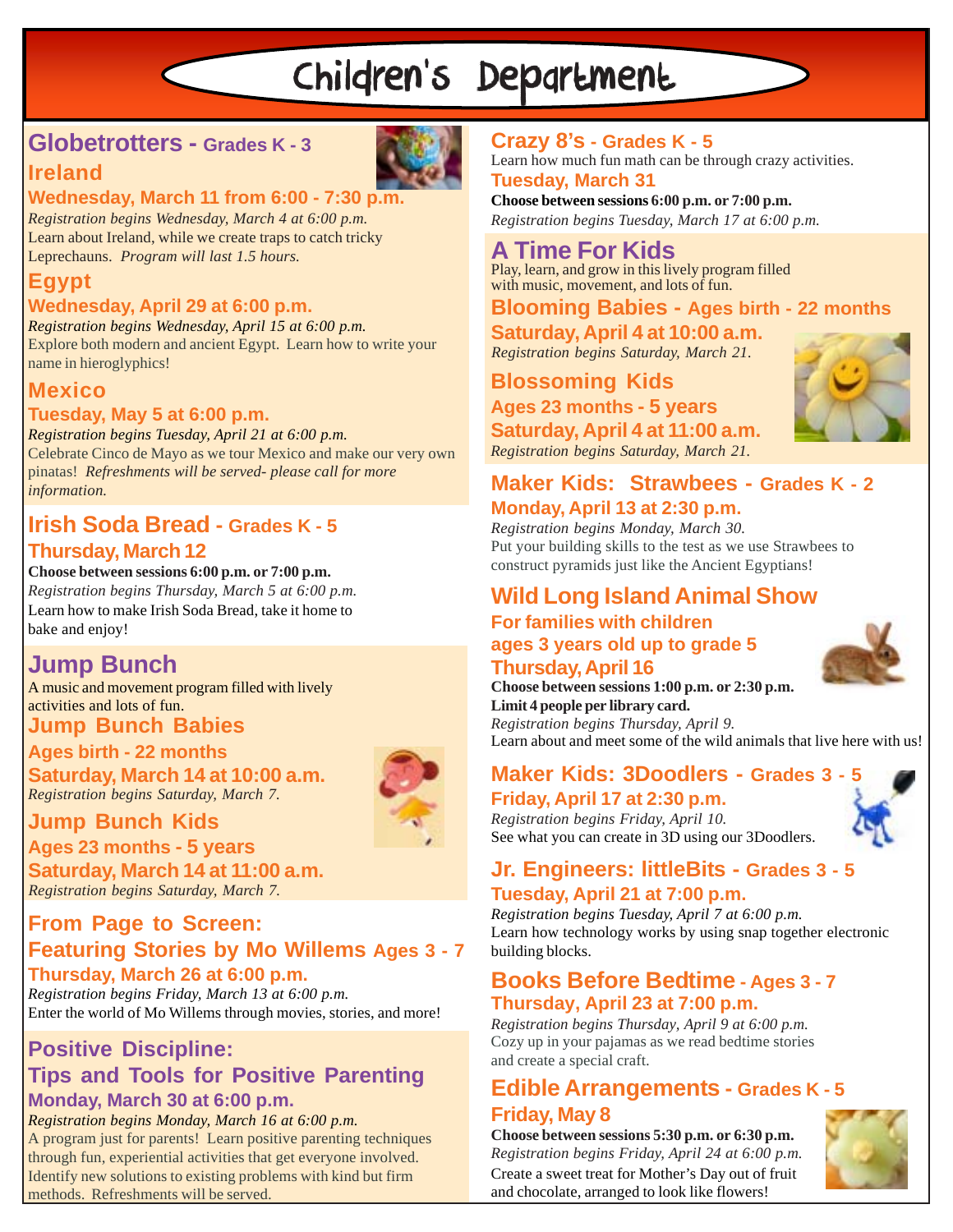# Children's Department

## **Globetrotters - Grades K - 3**



### **Wednesday, March 11 from 6:00 - 7:30 p.m.**

*Registration begins Wednesday, March 4 at 6:00 p.m.* Learn about Ireland, while we create traps to catch tricky Leprechauns. *Program will last 1.5 hours.*

## **Egypt**

**Ireland**

### **Wednesday, April 29 at 6:00 p.m.**

*Registration begins Wednesday, April 15 at 6:00 p.m.* Explore both modern and ancient Egypt. Learn how to write your name in hieroglyphics!

### **Mexico**

### **Tuesday, May 5 at 6:00 p.m.**

*Registration begins Tuesday, April 21 at 6:00 p.m.* Celebrate Cinco de Mayo as we tour Mexico and make our very own pinatas! *Refreshments will be served- please call for more information.*

### **Irish Soda Bread - Grades K - 5 Thursday, March 12**

### **Choose between sessions 6:00 p.m. or 7:00 p.m.**

*Registration begins Thursday, March 5 at 6:00 p.m.* Learn how to make Irish Soda Bread, take it home to bake and enjoy!

## **Jump Bunch**

**Jump Bunch Babies** A music and movement program filled with lively activities and lots of fun.

### **Ages birth - 22 months**

### **Saturday, March 14 at 10:00 a.m.** *Registration begins Saturday, March 7.*

### **Jump Bunch Kids**

**Ages 23 months - 5 years Saturday, March 14 at 11:00 a.m.** *Registration begins Saturday, March 7.*

### **From Page to Screen: Featuring Stories by Mo Willems Ages 3 - 7 Thursday, March 26 at 6:00 p.m.**

*Registration begins Friday, March 13 at 6:00 p.m.* Enter the world of Mo Willems through movies, stories, and more!

### **Positive Discipline: Tips and Tools for Positive Parenting Monday, March 30 at 6:00 p.m.**

*Registration begins Monday, March 16 at 6:00 p.m.* A program just for parents! Learn positive parenting techniques through fun, experiential activities that get everyone involved. Identify new solutions to existing problems with kind but firm methods. Refreshments will be served.

### **Crazy 8's - Grades K - 5**

**Tuesday, March 31** Learn how much fun math can be through crazy activities.

*Registration begins Tuesday, March 17 at 6:00 p.m.* **Choose between sessions 6:00 p.m. or 7:00 p.m.**

### **A Time For Kids**

Play, learn, and grow in this lively program filled with music, movement, and lots of fun.

### **Blooming Babies - Ages birth - 22 months**

**Saturday, April 4 at 10:00 a.m.** *Registration begins Saturday, March 21.*

# **Blossoming Kids**

**Ages 23 months - 5 years Saturday, April 4 at 11:00 a.m.** *Registration begins Saturday, March 21.*



### **Maker Kids: Strawbees - Grades K - 2 Monday, April 13 at 2:30 p.m.**

*Registration begins Monday, March 30.* Put your building skills to the test as we use Strawbees to construct pyramids just like the Ancient Egyptians!

### **Wild Long Island Animal Show For families with children ages 3 years old up to grade 5 Thursday, April 16**



**Choose between sessions 1:00 p.m. or 2:30 p.m. Limit 4 people per library card.**

*Registration begins Thursday, April 9.* Learn about and meet some of the wild animals that live here with us!

# **Maker Kids: 3Doodlers - Grades 3 - 5**

**Friday, April 17 at 2:30 p.m.** *Registration begins Friday, April 10.*

# See what you can create in 3D using our 3Doodlers.

### **Jr. Engineers: littleBits - Grades 3 - 5 Tuesday, April 21 at 7:00 p.m.**

*Registration begins Tuesday, April 7 at 6:00 p.m.* Learn how technology works by using snap together electronic building blocks.

### **Books Before Bedtime - Ages 3 - 7 Thursday, April 23 at 7:00 p.m.**

Cozy up in your pajamas as we read bedtime stories and create a special craft. *Registration begins Thursday, April 9 at 6:00 p.m.*

### **Edible Arrangements - Grades K - 5 Friday, May 8**

**Choose between sessions 5:30 p.m. or 6:30 p.m.** *Registration begins Friday, April 24 at 6:00 p.m.* Create a sweet treat for Mother's Day out of fruit and chocolate, arranged to look like flowers!